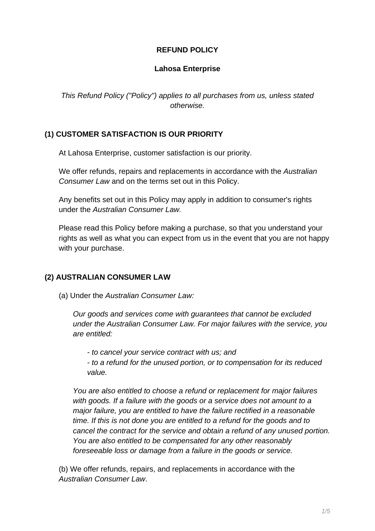### **REFUND POLICY**

#### **Lahosa Enterprise**

This Refund Policy ("Policy") applies to all purchases from us, unless stated otherwise.

### **(1) CUSTOMER SATISFACTION IS OUR PRIORITY**

At Lahosa Enterprise, customer satisfaction is our priority.

We offer refunds, repairs and replacements in accordance with the Australian Consumer Law and on the terms set out in this Policy.

Any benefits set out in this Policy may apply in addition to consumer's rights under the Australian Consumer Law.

Please read this Policy before making a purchase, so that you understand your rights as well as what you can expect from us in the event that you are not happy with your purchase.

#### **(2) AUSTRALIAN CONSUMER LAW**

(a) Under the Australian Consumer Law:

Our goods and services come with guarantees that cannot be excluded under the Australian Consumer Law. For major failures with the service, you are entitled:

- to cancel your service contract with us; and

- to a refund for the unused portion, or to compensation for its reduced value.

You are also entitled to choose a refund or replacement for major failures with goods. If a failure with the goods or a service does not amount to a major failure, you are entitled to have the failure rectified in a reasonable time. If this is not done you are entitled to a refund for the goods and to cancel the contract for the service and obtain a refund of any unused portion. You are also entitled to be compensated for any other reasonably foreseeable loss or damage from a failure in the goods or service.

(b) We offer refunds, repairs, and replacements in accordance with the Australian Consumer Law.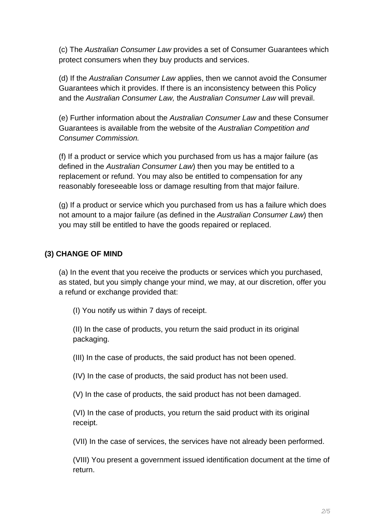(c) The Australian Consumer Law provides a set of Consumer Guarantees which protect consumers when they buy products and services.

(d) If the Australian Consumer Law applies, then we cannot avoid the Consumer Guarantees which it provides. If there is an inconsistency between this Policy and the Australian Consumer Law, the Australian Consumer Law will prevail.

(e) Further information about the Australian Consumer Law and these Consumer Guarantees is available from the website of the Australian Competition and Consumer Commission.

(f) If a product or service which you purchased from us has a major failure (as defined in the Australian Consumer Law) then you may be entitled to a replacement or refund. You may also be entitled to compensation for any reasonably foreseeable loss or damage resulting from that major failure.

(g) If a product or service which you purchased from us has a failure which does not amount to a major failure (as defined in the Australian Consumer Law) then you may still be entitled to have the goods repaired or replaced.

# **(3) CHANGE OF MIND**

(a) In the event that you receive the products or services which you purchased, as stated, but you simply change your mind, we may, at our discretion, offer you a refund or exchange provided that:

(I) You notify us within 7 days of receipt.

(II) In the case of products, you return the said product in its original packaging.

(III) In the case of products, the said product has not been opened.

(IV) In the case of products, the said product has not been used.

(V) In the case of products, the said product has not been damaged.

(VI) In the case of products, you return the said product with its original receipt.

(VII) In the case of services, the services have not already been performed.

(VIII) You present a government issued identification document at the time of return.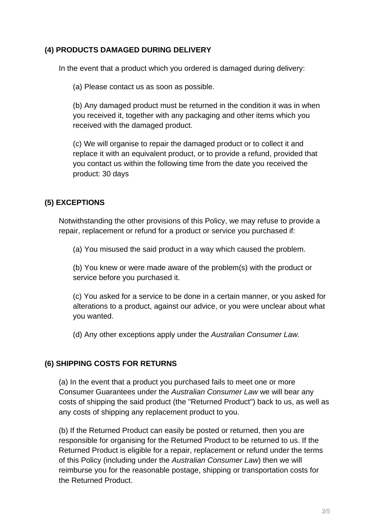### **(4) PRODUCTS DAMAGED DURING DELIVERY**

In the event that a product which you ordered is damaged during delivery:

(a) Please contact us as soon as possible.

(b) Any damaged product must be returned in the condition it was in when you received it, together with any packaging and other items which you received with the damaged product.

(c) We will organise to repair the damaged product or to collect it and replace it with an equivalent product, or to provide a refund, provided that you contact us within the following time from the date you received the product: 30 days

# **(5) EXCEPTIONS**

Notwithstanding the other provisions of this Policy, we may refuse to provide a repair, replacement or refund for a product or service you purchased if:

(a) You misused the said product in a way which caused the problem.

(b) You knew or were made aware of the problem(s) with the product or service before you purchased it.

(c) You asked for a service to be done in a certain manner, or you asked for alterations to a product, against our advice, or you were unclear about what you wanted.

(d) Any other exceptions apply under the Australian Consumer Law.

## **(6) SHIPPING COSTS FOR RETURNS**

(a) In the event that a product you purchased fails to meet one or more Consumer Guarantees under the Australian Consumer Law we will bear any costs of shipping the said product (the "Returned Product") back to us, as well as any costs of shipping any replacement product to you.

(b) If the Returned Product can easily be posted or returned, then you are responsible for organising for the Returned Product to be returned to us. If the Returned Product is eligible for a repair, replacement or refund under the terms of this Policy (including under the Australian Consumer Law) then we will reimburse you for the reasonable postage, shipping or transportation costs for the Returned Product.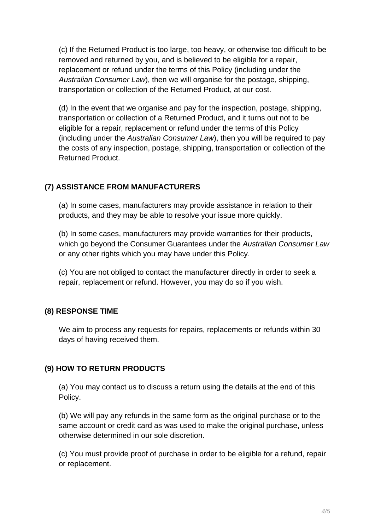(c) If the Returned Product is too large, too heavy, or otherwise too difficult to be removed and returned by you, and is believed to be eligible for a repair, replacement or refund under the terms of this Policy (including under the Australian Consumer Law), then we will organise for the postage, shipping, transportation or collection of the Returned Product, at our cost.

(d) In the event that we organise and pay for the inspection, postage, shipping, transportation or collection of a Returned Product, and it turns out not to be eligible for a repair, replacement or refund under the terms of this Policy (including under the Australian Consumer Law), then you will be required to pay the costs of any inspection, postage, shipping, transportation or collection of the Returned Product.

## **(7) ASSISTANCE FROM MANUFACTURERS**

(a) In some cases, manufacturers may provide assistance in relation to their products, and they may be able to resolve your issue more quickly.

(b) In some cases, manufacturers may provide warranties for their products, which go beyond the Consumer Guarantees under the Australian Consumer Law or any other rights which you may have under this Policy.

(c) You are not obliged to contact the manufacturer directly in order to seek a repair, replacement or refund. However, you may do so if you wish.

#### **(8) RESPONSE TIME**

We aim to process any requests for repairs, replacements or refunds within 30 days of having received them.

## **(9) HOW TO RETURN PRODUCTS**

(a) You may contact us to discuss a return using the details at the end of this Policy.

(b) We will pay any refunds in the same form as the original purchase or to the same account or credit card as was used to make the original purchase, unless otherwise determined in our sole discretion.

(c) You must provide proof of purchase in order to be eligible for a refund, repair or replacement.